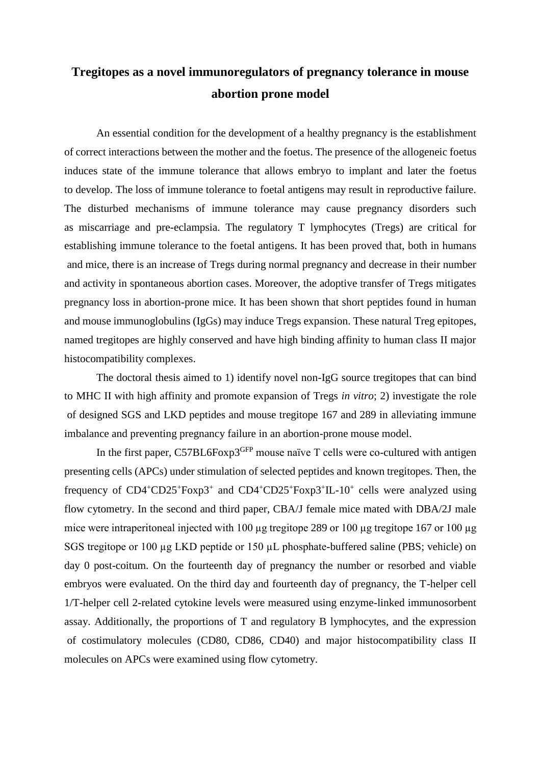## **Tregitopes as a novel immunoregulators of pregnancy tolerance in mouse abortion prone model**

An essential condition for the development of a healthy pregnancy is the establishment of correct interactions between the mother and the foetus. The presence of the allogeneic foetus induces state of the immune tolerance that allows embryo to implant and later the foetus to develop. The loss of immune tolerance to foetal antigens may result in reproductive failure. The disturbed mechanisms of immune tolerance may cause pregnancy disorders such as miscarriage and pre-eclampsia. The regulatory T lymphocytes (Tregs) are critical for establishing immune tolerance to the foetal antigens. It has been proved that, both in humans and mice, there is an increase of Tregs during normal pregnancy and decrease in their number and activity in spontaneous abortion cases. Moreover, the adoptive transfer of Tregs mitigates pregnancy loss in abortion-prone mice. It has been shown that short peptides found in human and mouse immunoglobulins (IgGs) may induce Tregs expansion. These natural Treg epitopes, named tregitopes are highly conserved and have high binding affinity to human class II major histocompatibility complexes.

The doctoral thesis aimed to 1) identify novel non-IgG source tregitopes that can bind to MHC II with high affinity and promote expansion of Tregs *in vitro*; 2) investigate the role of designed SGS and LKD peptides and mouse tregitope 167 and 289 in alleviating immune imbalance and preventing pregnancy failure in an abortion-prone mouse model.

In the first paper, C57BL6Foxp3<sup>GFP</sup> mouse naïve T cells were co-cultured with antigen presenting cells (APCs) under stimulation of selected peptides and known tregitopes. Then, the frequency of  $CD4^+CD25^+$ Foxp3<sup>+</sup> and  $CD4^+CD25^+$ Foxp3<sup>+</sup>IL-10<sup>+</sup> cells were analyzed using flow cytometry. In the second and third paper, CBA/J female mice mated with DBA/2J male mice were intraperitoneal injected with 100 µg tregitope 289 or 100 µg tregitope 167 or 100 µg SGS tregitope or 100 µg LKD peptide or 150 µL phosphate-buffered saline (PBS; vehicle) on day 0 post-coitum. On the fourteenth day of pregnancy the number or resorbed and viable embryos were evaluated. On the third day and fourteenth day of pregnancy, the T-helper cell 1/T-helper cell 2-related cytokine levels were measured using enzyme-linked immunosorbent assay. Additionally, the proportions of T and regulatory B lymphocytes, and the expression of costimulatory molecules (CD80, CD86, CD40) and major histocompatibility class II molecules on APCs were examined using flow cytometry.